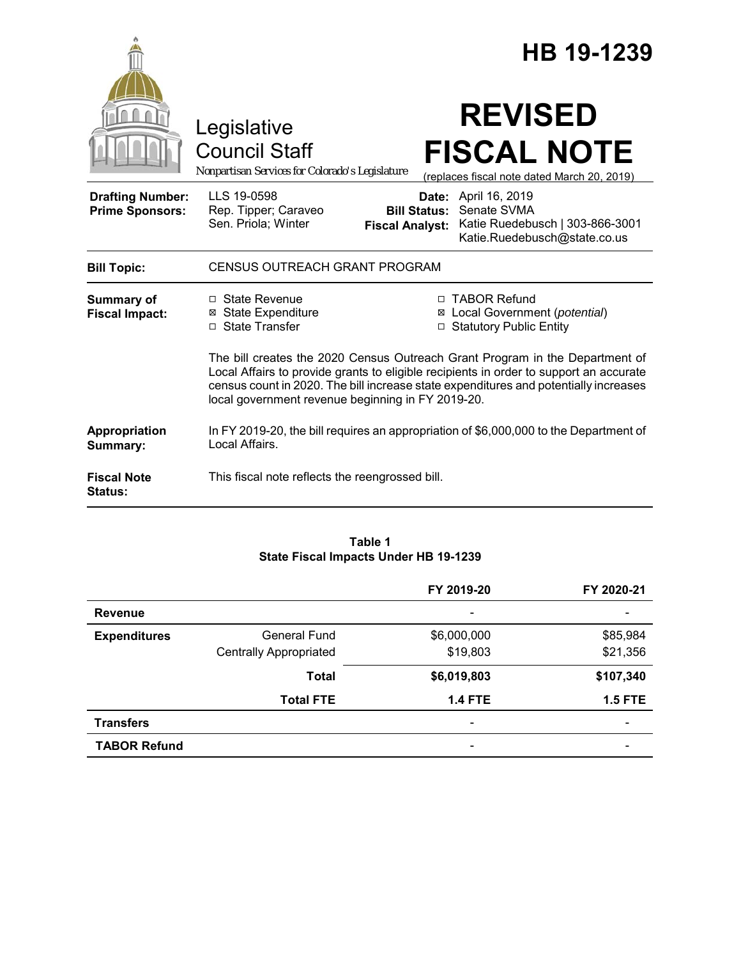|                                                   |                                                                                                                                                                                                                                                                                                                     |                                               | HB 19-1239                                                                                             |  |
|---------------------------------------------------|---------------------------------------------------------------------------------------------------------------------------------------------------------------------------------------------------------------------------------------------------------------------------------------------------------------------|-----------------------------------------------|--------------------------------------------------------------------------------------------------------|--|
|                                                   | Legislative<br><b>Council Staff</b><br>Nonpartisan Services for Colorado's Legislature                                                                                                                                                                                                                              |                                               | <b>REVISED</b><br><b>FISCAL NOTE</b><br>(replaces fiscal note dated March 20, 2019)                    |  |
| <b>Drafting Number:</b><br><b>Prime Sponsors:</b> | LLS 19-0598<br>Rep. Tipper; Caraveo<br>Sen. Priola; Winter                                                                                                                                                                                                                                                          | <b>Bill Status:</b><br><b>Fiscal Analyst:</b> | Date: April 16, 2019<br>Senate SVMA<br>Katie Ruedebusch   303-866-3001<br>Katie.Ruedebusch@state.co.us |  |
| <b>Bill Topic:</b>                                | <b>CENSUS OUTREACH GRANT PROGRAM</b>                                                                                                                                                                                                                                                                                |                                               |                                                                                                        |  |
| <b>Summary of</b><br><b>Fiscal Impact:</b>        | □ State Revenue<br><b>⊠ State Expenditure</b><br>□ State Transfer                                                                                                                                                                                                                                                   | $\Box$                                        | □ TABOR Refund<br>⊠ Local Government (potential)<br><b>Statutory Public Entity</b>                     |  |
|                                                   | The bill creates the 2020 Census Outreach Grant Program in the Department of<br>Local Affairs to provide grants to eligible recipients in order to support an accurate<br>census count in 2020. The bill increase state expenditures and potentially increases<br>local government revenue beginning in FY 2019-20. |                                               |                                                                                                        |  |
| Appropriation<br>Summary:                         | In FY 2019-20, the bill requires an appropriation of \$6,000,000 to the Department of<br>Local Affairs.                                                                                                                                                                                                             |                                               |                                                                                                        |  |
| <b>Fiscal Note</b><br>Status:                     | This fiscal note reflects the reengrossed bill.                                                                                                                                                                                                                                                                     |                                               |                                                                                                        |  |

# **Table 1 State Fiscal Impacts Under HB 19-1239**

|                     |                               | FY 2019-20               | FY 2020-21 |
|---------------------|-------------------------------|--------------------------|------------|
| <b>Revenue</b>      |                               | $\overline{\phantom{a}}$ |            |
| <b>Expenditures</b> | <b>General Fund</b>           | \$6,000,000              | \$85,984   |
|                     | <b>Centrally Appropriated</b> | \$19,803                 | \$21,356   |
|                     | <b>Total</b>                  | \$6,019,803              | \$107,340  |
|                     | <b>Total FTE</b>              | <b>1.4 FTE</b>           | $1.5$ FTE  |
| <b>Transfers</b>    |                               | $\overline{\phantom{0}}$ |            |
| <b>TABOR Refund</b> |                               |                          |            |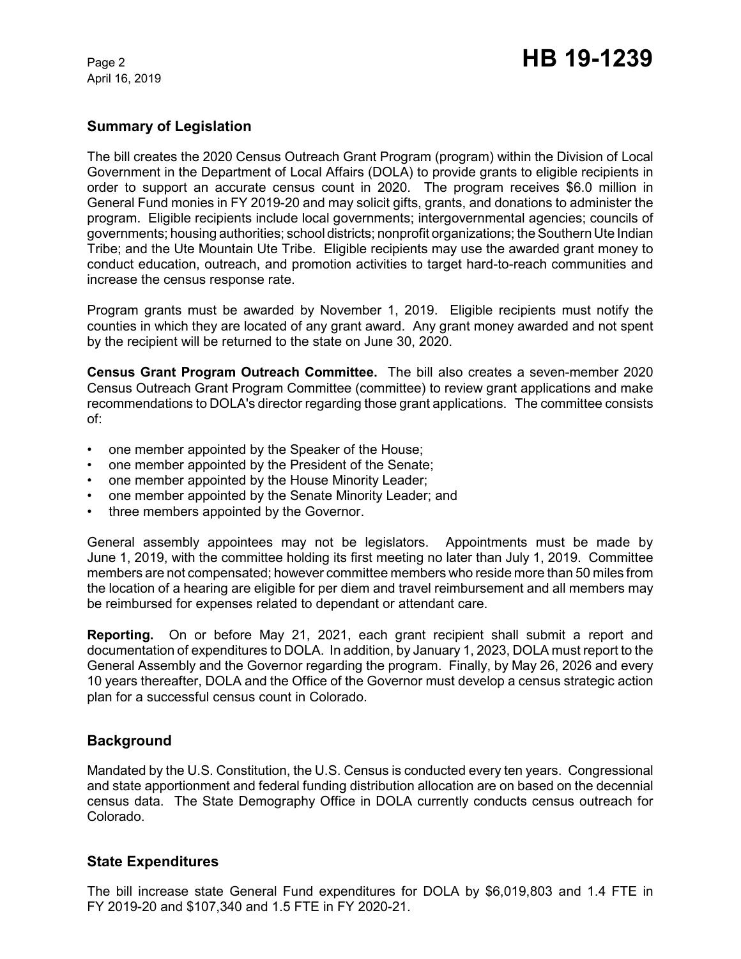April 16, 2019

# **Summary of Legislation**

The bill creates the 2020 Census Outreach Grant Program (program) within the Division of Local Government in the Department of Local Affairs (DOLA) to provide grants to eligible recipients in order to support an accurate census count in 2020. The program receives \$6.0 million in General Fund monies in FY 2019-20 and may solicit gifts, grants, and donations to administer the program. Eligible recipients include local governments; intergovernmental agencies; councils of governments; housing authorities; school districts; nonprofit organizations; the Southern Ute Indian Tribe; and the Ute Mountain Ute Tribe. Eligible recipients may use the awarded grant money to conduct education, outreach, and promotion activities to target hard-to-reach communities and increase the census response rate.

Program grants must be awarded by November 1, 2019. Eligible recipients must notify the counties in which they are located of any grant award. Any grant money awarded and not spent by the recipient will be returned to the state on June 30, 2020.

**Census Grant Program Outreach Committee.** The bill also creates a seven-member 2020 Census Outreach Grant Program Committee (committee) to review grant applications and make recommendations to DOLA's director regarding those grant applications. The committee consists of:

- one member appointed by the Speaker of the House;
- one member appointed by the President of the Senate;
- one member appointed by the House Minority Leader;
- one member appointed by the Senate Minority Leader; and
- three members appointed by the Governor.

General assembly appointees may not be legislators. Appointments must be made by June 1, 2019, with the committee holding its first meeting no later than July 1, 2019. Committee members are not compensated; however committee members who reside more than 50 miles from the location of a hearing are eligible for per diem and travel reimbursement and all members may be reimbursed for expenses related to dependant or attendant care.

**Reporting.** On or before May 21, 2021, each grant recipient shall submit a report and documentation of expenditures to DOLA. In addition, by January 1, 2023, DOLA must report to the General Assembly and the Governor regarding the program. Finally, by May 26, 2026 and every 10 years thereafter, DOLA and the Office of the Governor must develop a census strategic action plan for a successful census count in Colorado.

# **Background**

Mandated by the U.S. Constitution, the U.S. Census is conducted every ten years. Congressional and state apportionment and federal funding distribution allocation are on based on the decennial census data. The State Demography Office in DOLA currently conducts census outreach for Colorado.

## **State Expenditures**

The bill increase state General Fund expenditures for DOLA by \$6,019,803 and 1.4 FTE in FY 2019-20 and \$107,340 and 1.5 FTE in FY 2020-21.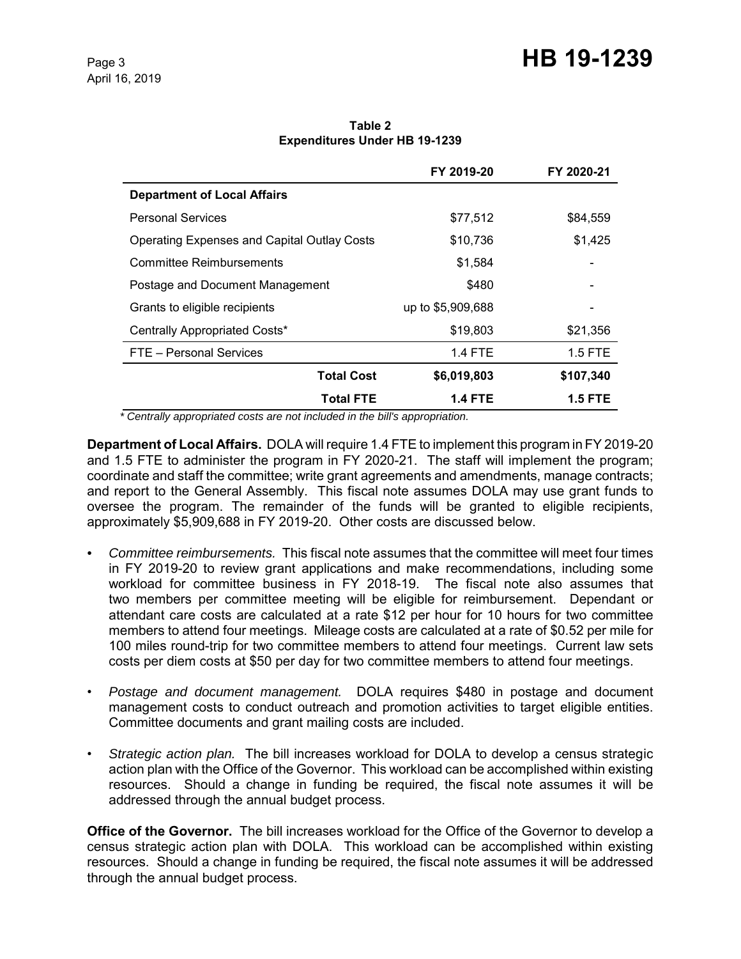# Page 3 **HB 19-1239**

**Table 2 Expenditures Under HB 19-1239**

|                                                    | FY 2019-20        | FY 2020-21 |
|----------------------------------------------------|-------------------|------------|
| <b>Department of Local Affairs</b>                 |                   |            |
| <b>Personal Services</b>                           | \$77,512          | \$84,559   |
| <b>Operating Expenses and Capital Outlay Costs</b> | \$10,736          | \$1,425    |
| <b>Committee Reimbursements</b>                    | \$1,584           |            |
| Postage and Document Management                    | \$480             |            |
| Grants to eligible recipients                      | up to \$5,909,688 |            |
| Centrally Appropriated Costs*                      | \$19,803          | \$21,356   |
| FTE - Personal Services                            | <b>1.4 FTE</b>    | $1.5$ FTE  |
| <b>Total Cost</b>                                  | \$6,019,803       | \$107,340  |
| <b>Total FTE</b>                                   | <b>1.4 FTE</b>    | 1.5 FTE    |

 *\* Centrally appropriated costs are not included in the bill's appropriation.*

**Department of Local Affairs.** DOLA will require 1.4 FTE to implement this program in FY 2019-20 and 1.5 FTE to administer the program in FY 2020-21. The staff will implement the program; coordinate and staff the committee; write grant agreements and amendments, manage contracts; and report to the General Assembly. This fiscal note assumes DOLA may use grant funds to oversee the program. The remainder of the funds will be granted to eligible recipients, approximately \$5,909,688 in FY 2019-20. Other costs are discussed below.

- *Committee reimbursements.*This fiscal note assumes that the committee will meet four times in FY 2019-20 to review grant applications and make recommendations, including some workload for committee business in FY 2018-19. The fiscal note also assumes that two members per committee meeting will be eligible for reimbursement. Dependant or attendant care costs are calculated at a rate \$12 per hour for 10 hours for two committee members to attend four meetings. Mileage costs are calculated at a rate of \$0.52 per mile for 100 miles round-trip for two committee members to attend four meetings. Current law sets costs per diem costs at \$50 per day for two committee members to attend four meetings.
- *Postage and document management.* DOLA requires \$480 in postage and document management costs to conduct outreach and promotion activities to target eligible entities. Committee documents and grant mailing costs are included.
- *Strategic action plan.* The bill increases workload for DOLA to develop a census strategic action plan with the Office of the Governor. This workload can be accomplished within existing resources. Should a change in funding be required, the fiscal note assumes it will be addressed through the annual budget process.

**Office of the Governor.** The bill increases workload for the Office of the Governor to develop a census strategic action plan with DOLA. This workload can be accomplished within existing resources. Should a change in funding be required, the fiscal note assumes it will be addressed through the annual budget process.